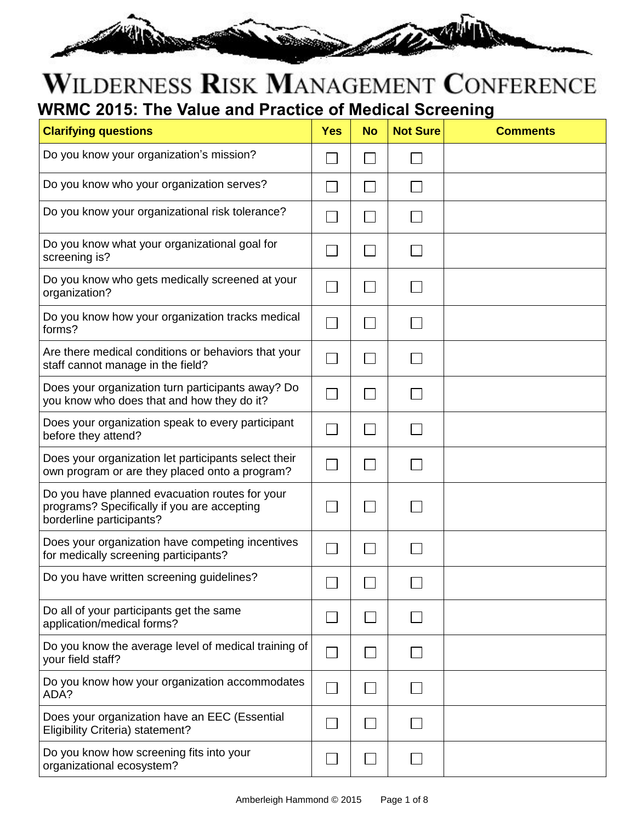

#### WILDERNESS RISK MANAGEMENT CONFERENCE **WRMC 2015: The Value and Practice of Medical Screening**

| <b>Clarifying questions</b>                                                                                               | <b>Yes</b> | <b>No</b> | <b>Not Sure</b> | <b>Comments</b> |
|---------------------------------------------------------------------------------------------------------------------------|------------|-----------|-----------------|-----------------|
| Do you know your organization's mission?                                                                                  |            |           |                 |                 |
| Do you know who your organization serves?                                                                                 |            |           |                 |                 |
| Do you know your organizational risk tolerance?                                                                           |            |           |                 |                 |
| Do you know what your organizational goal for<br>screening is?                                                            |            |           |                 |                 |
| Do you know who gets medically screened at your<br>organization?                                                          |            |           |                 |                 |
| Do you know how your organization tracks medical<br>forms?                                                                |            |           |                 |                 |
| Are there medical conditions or behaviors that your<br>staff cannot manage in the field?                                  |            |           |                 |                 |
| Does your organization turn participants away? Do<br>you know who does that and how they do it?                           |            |           |                 |                 |
| Does your organization speak to every participant<br>before they attend?                                                  |            |           |                 |                 |
| Does your organization let participants select their<br>own program or are they placed onto a program?                    |            |           |                 |                 |
| Do you have planned evacuation routes for your<br>programs? Specifically if you are accepting<br>borderline participants? |            |           |                 |                 |
| Does your organization have competing incentives<br>for medically screening participants?                                 |            |           |                 |                 |
| Do you have written screening guidelines?                                                                                 |            |           |                 |                 |
| Do all of your participants get the same<br>application/medical forms?                                                    |            |           |                 |                 |
| Do you know the average level of medical training of<br>your field staff?                                                 |            |           |                 |                 |
| Do you know how your organization accommodates<br>ADA?                                                                    |            |           |                 |                 |
| Does your organization have an EEC (Essential<br>Eligibility Criteria) statement?                                         |            |           |                 |                 |
| Do you know how screening fits into your<br>organizational ecosystem?                                                     |            |           |                 |                 |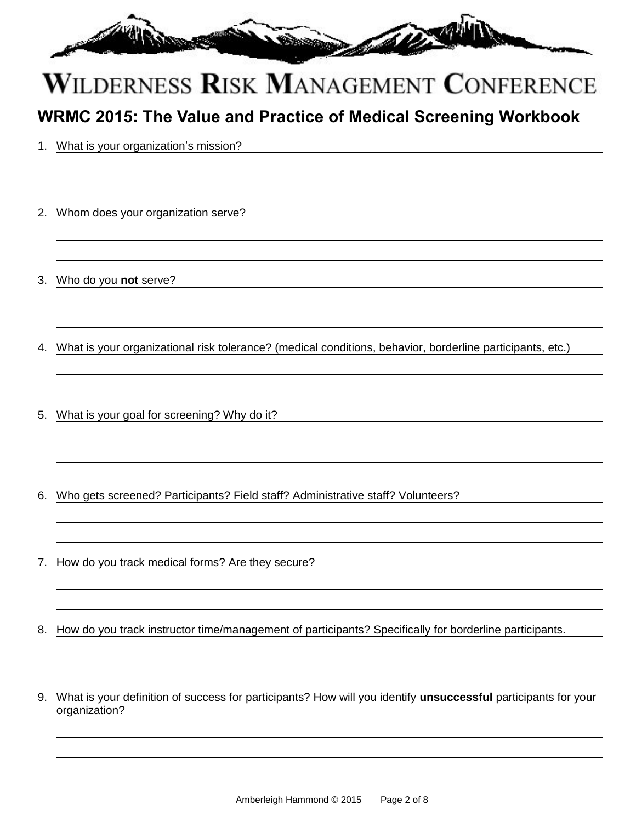

#### **WRMC 2015: The Value and Practice of Medical Screening Workbook**

- 1. What is your organization's mission?
- 2. Whom does your organization serve?
- 3. Who do you **not** serve?
- 4. What is your organizational risk tolerance? (medical conditions, behavior, borderline participants, etc.)
- 5. What is your goal for screening? Why do it?
- 6. Who gets screened? Participants? Field staff? Administrative staff? Volunteers?
- 7. How do you track medical forms? Are they secure?
- 8. How do you track instructor time/management of participants? Specifically for borderline participants.
- 9. What is your definition of success for participants? How will you identify **unsuccessful** participants for your organization?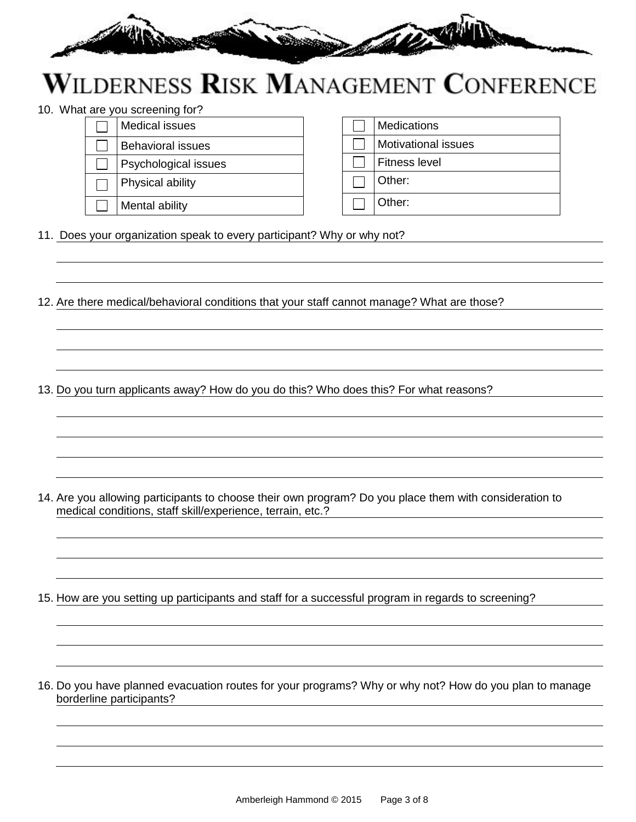

10. What are you screening for?

| Medical issues           |  | <b>Medications</b>         |
|--------------------------|--|----------------------------|
| <b>Behavioral issues</b> |  | <b>Motivational issues</b> |
| Psychological issues     |  | <b>Fitness level</b>       |
| Physical ability         |  | Other:                     |
| Mental ability           |  | Other:                     |
|                          |  |                            |

11. Does your organization speak to every participant? Why or why not?

12. Are there medical/behavioral conditions that your staff cannot manage? What are those?

13. Do you turn applicants away? How do you do this? Who does this? For what reasons?

14. Are you allowing participants to choose their own program? Do you place them with consideration to medical conditions, staff skill/experience, terrain, etc.?

15. How are you setting up participants and staff for a successful program in regards to screening?

16. Do you have planned evacuation routes for your programs? Why or why not? How do you plan to manage borderline participants?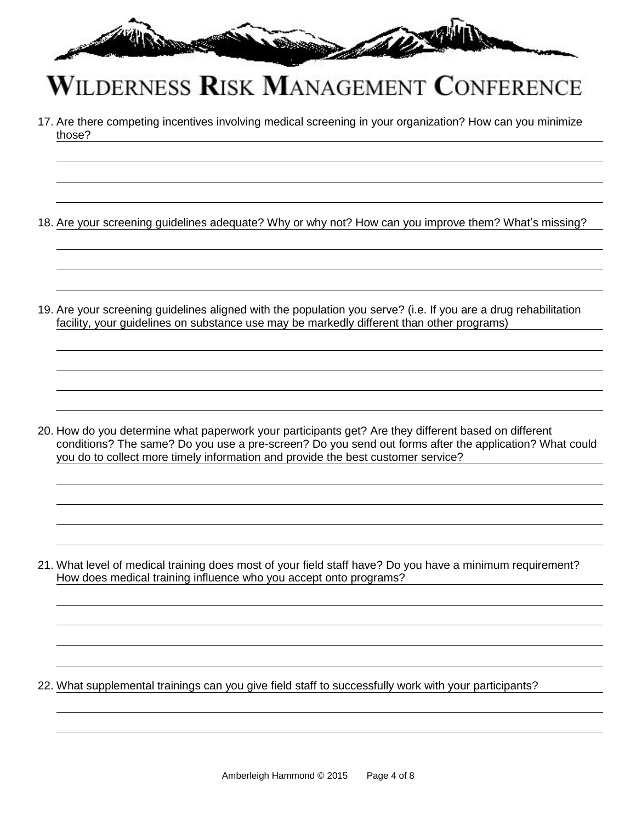

17. Are there competing incentives involving medical screening in your organization? How can you minimize those?

18. Are your screening guidelines adequate? Why or why not? How can you improve them? What's missing?

19. Are your screening guidelines aligned with the population you serve? (i.e. If you are a drug rehabilitation facility, your guidelines on substance use may be markedly different than other programs)

20. How do you determine what paperwork your participants get? Are they different based on different conditions? The same? Do you use a pre-screen? Do you send out forms after the application? What could you do to collect more timely information and provide the best customer service?

21. What level of medical training does most of your field staff have? Do you have a minimum requirement? How does medical training influence who you accept onto programs?

22. What supplemental trainings can you give field staff to successfully work with your participants?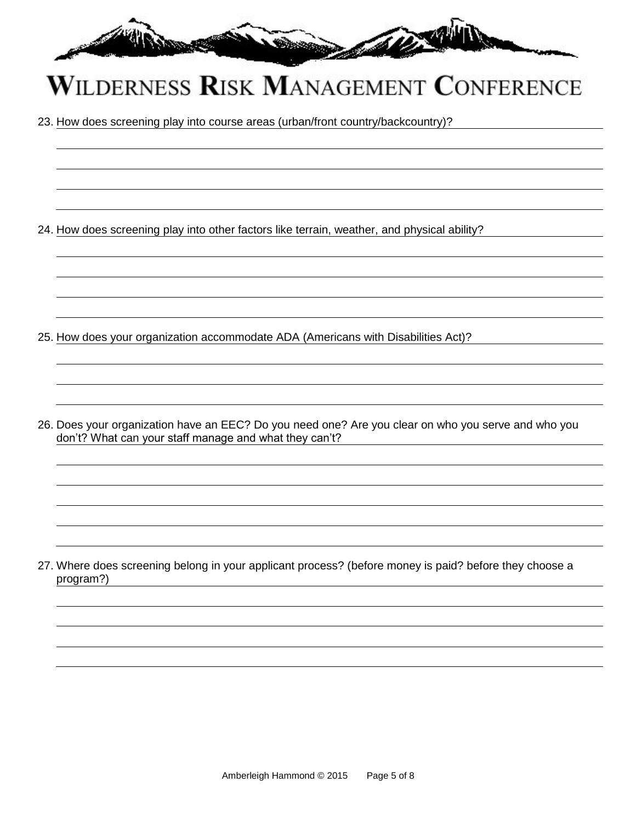

23. How does screening play into course areas (urban/front country/backcountry)?

24. How does screening play into other factors like terrain, weather, and physical ability?

25. How does your organization accommodate ADA (Americans with Disabilities Act)?

26. Does your organization have an EEC? Do you need one? Are you clear on who you serve and who you don't? What can your staff manage and what they can't?

27. Where does screening belong in your applicant process? (before money is paid? before they choose a program?)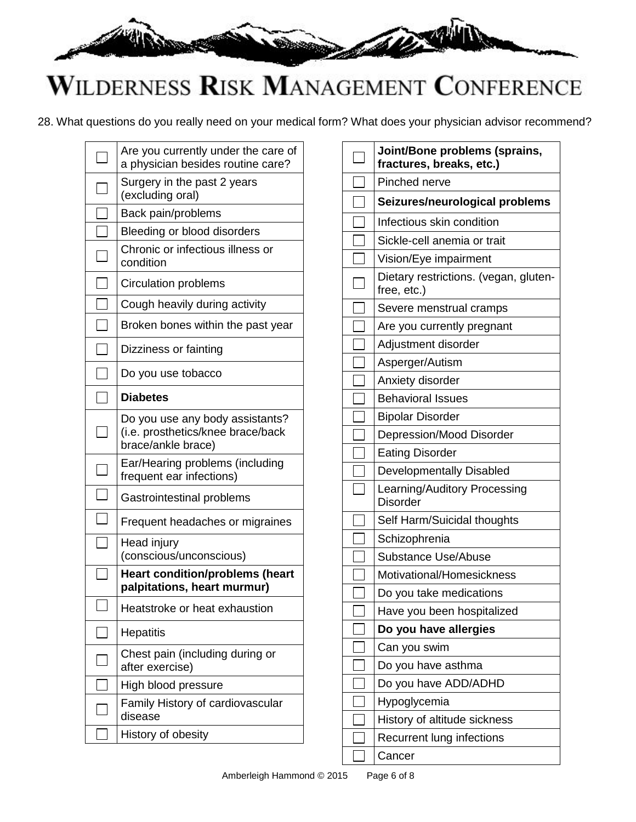

28. What questions do you really need on your medical form? What does your physician advisor recommend?

|    | Are you currently under the care of<br>a physician besides routine care?                   |
|----|--------------------------------------------------------------------------------------------|
|    | Surgery in the past 2 years<br>(excluding oral)                                            |
|    | Back pain/problems                                                                         |
|    | Bleeding or blood disorders                                                                |
|    | Chronic or infectious illness or<br>condition                                              |
|    | <b>Circulation problems</b>                                                                |
|    | Cough heavily during activity                                                              |
|    | Broken bones within the past year                                                          |
|    | Dizziness or fainting                                                                      |
|    | Do you use tobacco                                                                         |
|    | <b>Diabetes</b>                                                                            |
| ×. | Do you use any body assistants?<br>(i.e. prosthetics/knee brace/back<br>brace/ankle brace) |
|    | Ear/Hearing problems (including<br>frequent ear infections)                                |
|    | Gastrointestinal problems                                                                  |
|    | Frequent headaches or migraines                                                            |
|    | Head injury<br>(conscious/unconscious)                                                     |
|    | <b>Heart condition/problems (heart</b><br>palpitations, heart murmur)                      |
|    | Heatstroke or heat exhaustion                                                              |
|    | <b>Hepatitis</b>                                                                           |
|    | Chest pain (including during or<br>after exercise)                                         |
|    | High blood pressure                                                                        |
|    | Family History of cardiovascular<br>disease                                                |
|    | History of obesity                                                                         |

| Joint/Bone problems (sprains,<br>fractures, breaks, etc.) |
|-----------------------------------------------------------|
| Pinched nerve                                             |
| Seizures/neurological problems                            |
| Infectious skin condition                                 |
| Sickle-cell anemia or trait                               |
| Vision/Eye impairment                                     |
| Dietary restrictions. (vegan, gluten-<br>free, etc.)      |
| Severe menstrual cramps                                   |
| Are you currently pregnant                                |
| Adjustment disorder                                       |
| Asperger/Autism                                           |
| Anxiety disorder                                          |
| <b>Behavioral Issues</b>                                  |
| <b>Bipolar Disorder</b>                                   |
| Depression/Mood Disorder                                  |
| <b>Eating Disorder</b>                                    |
| Developmentally Disabled                                  |
| Learning/Auditory Processing<br><b>Disorder</b>           |
| Self Harm/Suicidal thoughts                               |
| Schizophrenia                                             |
| <b>Substance Use/Abuse</b>                                |
| Motivational/Homesickness                                 |
| Do you take medications                                   |
| Have you been hospitalized                                |
| Do you have allergies                                     |
| Can you swim                                              |
| Do you have asthma                                        |
| Do you have ADD/ADHD                                      |
| Hypoglycemia                                              |
| History of altitude sickness                              |
| Recurrent lung infections                                 |
| Cancer                                                    |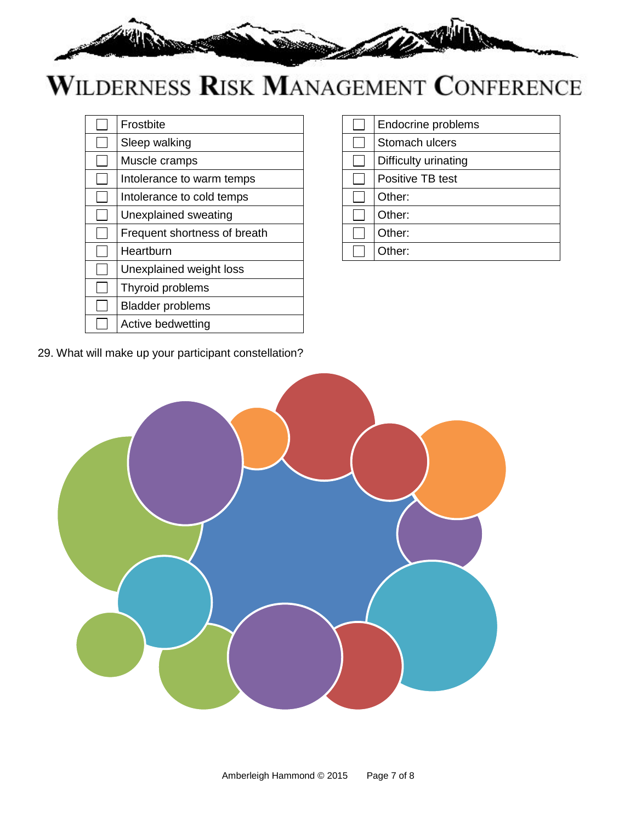

| Frostbite                    |
|------------------------------|
| Sleep walking                |
| Muscle cramps                |
| Intolerance to warm temps    |
| Intolerance to cold temps    |
| Unexplained sweating         |
| Frequent shortness of breath |
| Heartburn                    |
| Unexplained weight loss      |
| Thyroid problems             |
| <b>Bladder problems</b>      |
| Active bedwetting            |

| Stomach ulcers       |
|----------------------|
|                      |
| Difficulty urinating |
| Positive TB test     |
| Other:               |
| Other:               |
| Other:               |
| Other:               |

29. What will make up your participant constellation?